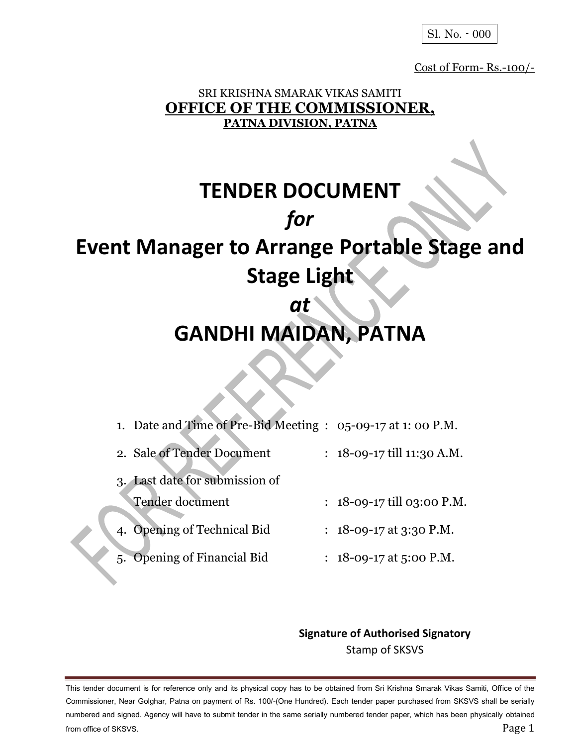Sl. No. - 000

Cost of Form- Rs.-100/-

## SRI KRISHNA SMARAK VIKAS SAMITI **OFFICE OF THE COMMISSIONER, PATNA DIVISION, PATNA**

# **TENDER DOCUMENT** *for* **Event Manager to Arrange Portable Stage and Stage Light** *at*

# **GANDHI MAIDAN, PATNA**

- 1. Date and Time of Pre-Bid Meeting : 05-09-17 at 1: 00 P.M.
- 2. Sale of Tender Document : 18-09-17 till 11:30 A.M.
- 3. Last date for submission of Tender document : 18-09-17 till 03:00 P.M.
- 4. Opening of Technical Bid : 18-09-17 at 3:30 P.M.
- 5. Opening of Financial Bid : 18-09-17 at 5:00 P.M.

## **Signature of Authorised Signatory** Stamp of SKSVS

This tender document is for reference only and its physical copy has to be obtained from Sri Krishna Smarak Vikas Samiti, Office of the Commissioner, Near Golghar, Patna on payment of Rs. 100/-(One Hundred). Each tender paper purchased from SKSVS shall be serially numbered and signed. Agency will have to submit tender in the same serially numbered tender paper, which has been physically obtained from office of SKSVS. Page 1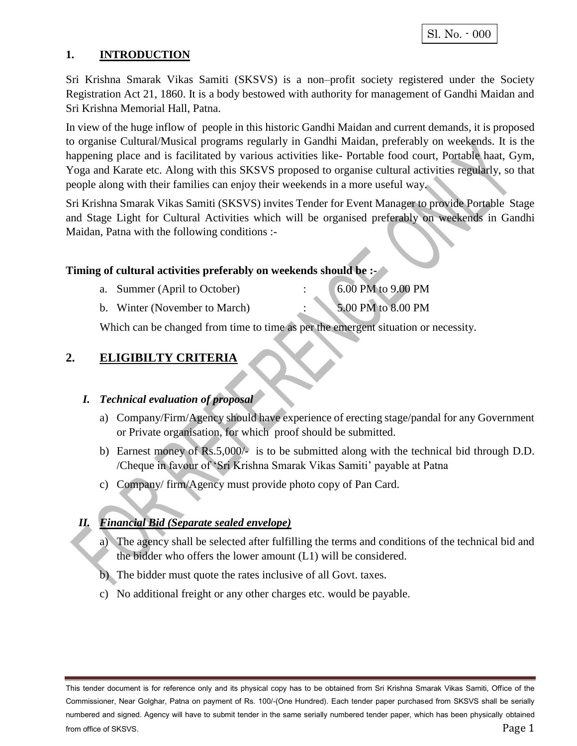#### **1. INTRODUCTION**

Sri Krishna Smarak Vikas Samiti (SKSVS) is a non–profit society registered under the Society Registration Act 21, 1860. It is a body bestowed with authority for management of Gandhi Maidan and Sri Krishna Memorial Hall, Patna.

In view of the huge inflow of people in this historic Gandhi Maidan and current demands, it is proposed to organise Cultural/Musical programs regularly in Gandhi Maidan, preferably on weekends. It is the happening place and is facilitated by various activities like- Portable food court, Portable haat, Gym, Yoga and Karate etc. Along with this SKSVS proposed to organise cultural activities regularly, so that people along with their families can enjoy their weekends in a more useful way.

Sri Krishna Smarak Vikas Samiti (SKSVS) invites Tender for Event Manager to provide Portable Stage and Stage Light for Cultural Activities which will be organised preferably on weekends in Gandhi Maidan, Patna with the following conditions :-

#### **Timing of cultural activities preferably on weekends should be :-**

| a. Summer (April to October)  | 6.00 PM to 9.00 PM |
|-------------------------------|--------------------|
| b. Winter (November to March) | 5.00 PM to 8.00 PM |

Which can be changed from time to time as per the emergent situation or necessity.

### **2. ELIGIBILTY CRITERIA**

#### *I. Technical evaluation of proposal*

- a) Company/Firm/Agency should have experience of erecting stage/pandal for any Government or Private organisation, for which proof should be submitted.
- b) Earnest money of Rs.5,000/- is to be submitted along with the technical bid through D.D. /Cheque in favour of 'Sri Krishna Smarak Vikas Samiti' payable at Patna
- c) Company/ firm/Agency must provide photo copy of Pan Card.

#### *II. Financial Bid (Separate sealed envelope)*

- a) The agency shall be selected after fulfilling the terms and conditions of the technical bid and the bidder who offers the lower amount (L1) will be considered.
- b) The bidder must quote the rates inclusive of all Govt. taxes.
- c) No additional freight or any other charges etc. would be payable.

This tender document is for reference only and its physical copy has to be obtained from Sri Krishna Smarak Vikas Samiti, Office of the Commissioner, Near Golghar, Patna on payment of Rs. 100/-(One Hundred). Each tender paper purchased from SKSVS shall be serially numbered and signed. Agency will have to submit tender in the same serially numbered tender paper, which has been physically obtained from office of SKSVS. Page 1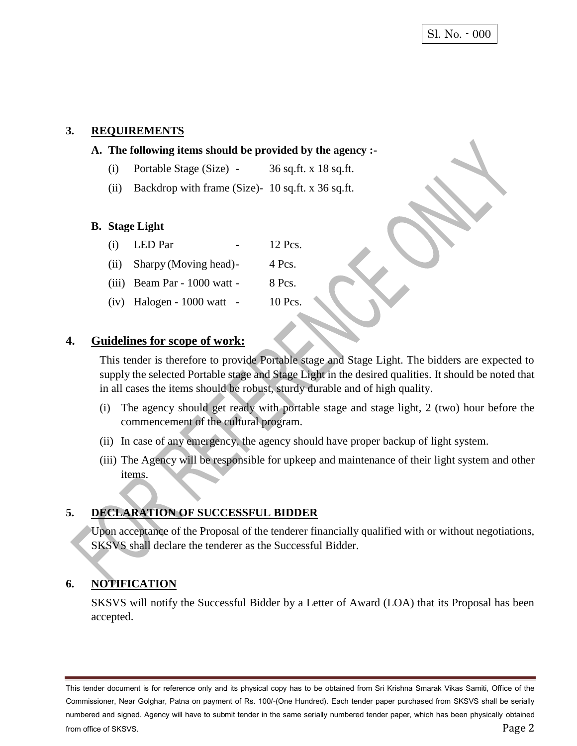#### **3. REQUIREMENTS**

#### **A. The following items should be provided by the agency :-**

- (i) Portable Stage (Size) 36 sq.ft. x 18 sq.ft.
- (ii) Backdrop with frame (Size)- 10 sq.ft. x 36 sq.ft.

#### **B. Stage Light**

- (i) LED Par  $-12$  Pcs.
- (ii) Sharpy (Moving head)- 4 Pcs.
- (iii) Beam Par  $1000$  watt 8 Pcs.
- (iv) Halogen  $1000$  watt  $10$  Pcs.

#### **4. Guidelines for scope of work:**

This tender is therefore to provide Portable stage and Stage Light. The bidders are expected to supply the selected Portable stage and Stage Light in the desired qualities. It should be noted that in all cases the items should be robust, sturdy durable and of high quality.

- (i) The agency should get ready with portable stage and stage light, 2 (two) hour before the commencement of the cultural program.
- (ii) In case of any emergency, the agency should have proper backup of light system.
- (iii) The Agency will be responsible for upkeep and maintenance of their light system and other items.

#### **5. DECLARATION OF SUCCESSFUL BIDDER**

Upon acceptance of the Proposal of the tenderer financially qualified with or without negotiations, SKSVS shall declare the tenderer as the Successful Bidder.

## **6. NOTIFICATION**

SKSVS will notify the Successful Bidder by a Letter of Award (LOA) that its Proposal has been accepted.

This tender document is for reference only and its physical copy has to be obtained from Sri Krishna Smarak Vikas Samiti, Office of the Commissioner, Near Golghar, Patna on payment of Rs. 100/-(One Hundred). Each tender paper purchased from SKSVS shall be serially numbered and signed. Agency will have to submit tender in the same serially numbered tender paper, which has been physically obtained from office of SKSVS. Page 2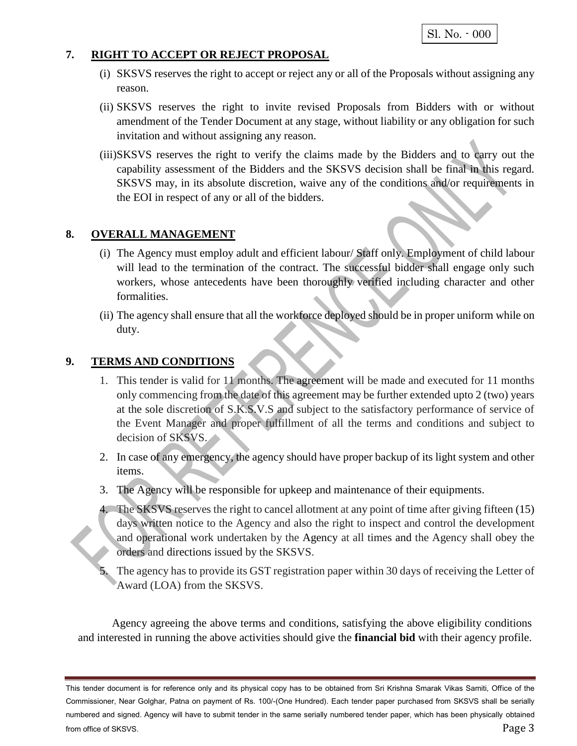```
 Sl. No. - 000
```
#### **7. RIGHT TO ACCEPT OR REJECT PROPOSAL**

- (i) SKSVS reserves the right to accept or reject any or all of the Proposals without assigning any reason.
- (ii) SKSVS reserves the right to invite revised Proposals from Bidders with or without amendment of the Tender Document at any stage, without liability or any obligation for such invitation and without assigning any reason.
- (iii)SKSVS reserves the right to verify the claims made by the Bidders and to carry out the capability assessment of the Bidders and the SKSVS decision shall be final in this regard. SKSVS may, in its absolute discretion, waive any of the conditions and/or requirements in the EOI in respect of any or all of the bidders.

#### **8. OVERALL MANAGEMENT**

- (i) The Agency must employ adult and efficient labour/ Staff only. Employment of child labour will lead to the termination of the contract. The successful bidder shall engage only such workers, whose antecedents have been thoroughly verified including character and other formalities.
- (ii) The agency shall ensure that all the workforce deployed should be in proper uniform while on duty.

#### **9. TERMS AND CONDITIONS**

- 1. This tender is valid for 11 months. The agreement will be made and executed for 11 months only commencing from the date of this agreement may be further extended upto 2 (two) years at the sole discretion of S.K.S.V.S and subject to the satisfactory performance of service of the Event Manager and proper fulfillment of all the terms and conditions and subject to decision of SKSVS.
- 2. In case of any emergency, the agency should have proper backup of its light system and other items.
- 3. The Agency will be responsible for upkeep and maintenance of their equipments.
- 4. The SKSVS reserves the right to cancel allotment at any point of time after giving fifteen (15) days written notice to the Agency and also the right to inspect and control the development and operational work undertaken by the Agency at all times and the Agency shall obey the orders and directions issued by the SKSVS.
- The agency has to provide its GST registration paper within 30 days of receiving the Letter of Award (LOA) from the SKSVS.

Agency agreeing the above terms and conditions, satisfying the above eligibility conditions and interested in running the above activities should give the **financial bid** with their agency profile.

This tender document is for reference only and its physical copy has to be obtained from Sri Krishna Smarak Vikas Samiti, Office of the Commissioner, Near Golghar, Patna on payment of Rs. 100/-(One Hundred). Each tender paper purchased from SKSVS shall be serially numbered and signed. Agency will have to submit tender in the same serially numbered tender paper, which has been physically obtained from office of SKSVS. Page 3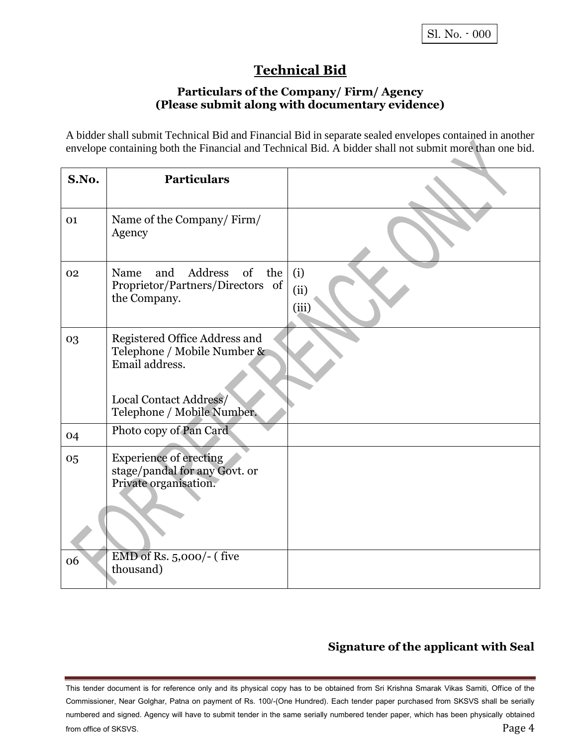# **Technical Bid**

#### **Particulars of the Company/ Firm/ Agency (Please submit along with documentary evidence)**

A bidder shall submit Technical Bid and Financial Bid in separate sealed envelopes contained in another envelope containing both the Financial and Technical Bid. A bidder shall not submit more than one bid.

| S.No. | <b>Particulars</b>                                                                                                                     |                      |
|-------|----------------------------------------------------------------------------------------------------------------------------------------|----------------------|
| 01    | Name of the Company/Firm/<br>Agency                                                                                                    |                      |
| 02    | Address of the<br>Name<br>and<br>Proprietor/Partners/Directors of<br>the Company.                                                      | (i)<br>(ii)<br>(iii) |
| 03    | Registered Office Address and<br>Telephone / Mobile Number &<br>Email address.<br>Local Contact Address/<br>Telephone / Mobile Number. |                      |
| 04    | Photo copy of Pan Card                                                                                                                 |                      |
| 05    | <b>Experience of erecting</b><br>stage/pandal for any Govt. or<br>Private organisation.                                                |                      |
| 06    | EMD of Rs. 5,000/- (five<br>thousand)                                                                                                  |                      |

## **Signature of the applicant with Seal**

This tender document is for reference only and its physical copy has to be obtained from Sri Krishna Smarak Vikas Samiti, Office of the Commissioner, Near Golghar, Patna on payment of Rs. 100/-(One Hundred). Each tender paper purchased from SKSVS shall be serially numbered and signed. Agency will have to submit tender in the same serially numbered tender paper, which has been physically obtained from office of SKSVS. Page 4